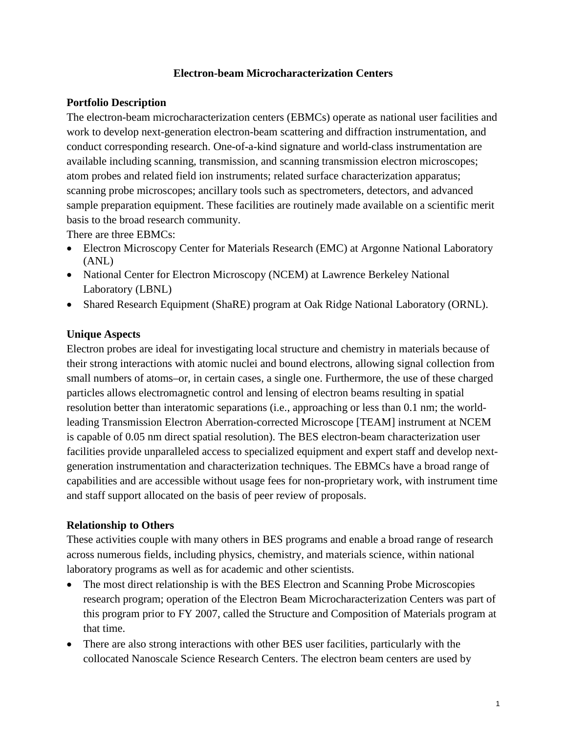## **Electron-beam Microcharacterization Centers**

#### **Portfolio Description**

The electron-beam microcharacterization centers (EBMCs) operate as national user facilities and work to develop next-generation electron-beam scattering and diffraction instrumentation, and conduct corresponding research. One-of-a-kind signature and world-class instrumentation are available including scanning, transmission, and scanning transmission electron microscopes; atom probes and related field ion instruments; related surface characterization apparatus; scanning probe microscopes; ancillary tools such as spectrometers, detectors, and advanced sample preparation equipment. These facilities are routinely made available on a scientific merit basis to the broad research community.

There are three EBMCs:

- Electron Microscopy Center for Materials Research (EMC) at Argonne National Laboratory (ANL)
- National Center for Electron Microscopy (NCEM) at Lawrence Berkeley National Laboratory (LBNL)
- Shared Research Equipment (ShaRE) program at Oak Ridge National Laboratory (ORNL).

#### **Unique Aspects**

Electron probes are ideal for investigating local structure and chemistry in materials because of their strong interactions with atomic nuclei and bound electrons, allowing signal collection from small numbers of atoms–or, in certain cases, a single one. Furthermore, the use of these charged particles allows electromagnetic control and lensing of electron beams resulting in spatial resolution better than interatomic separations (i.e., approaching or less than 0.1 nm; the worldleading Transmission Electron Aberration-corrected Microscope [TEAM] instrument at NCEM is capable of 0.05 nm direct spatial resolution). The BES electron-beam characterization user facilities provide unparalleled access to specialized equipment and expert staff and develop nextgeneration instrumentation and characterization techniques. The EBMCs have a broad range of capabilities and are accessible without usage fees for non-proprietary work, with instrument time and staff support allocated on the basis of peer review of proposals.

#### **Relationship to Others**

These activities couple with many others in BES programs and enable a broad range of research across numerous fields, including physics, chemistry, and materials science, within national laboratory programs as well as for academic and other scientists.

- The most direct relationship is with the BES Electron and Scanning Probe Microscopies research program; operation of the Electron Beam Microcharacterization Centers was part of this program prior to FY 2007, called the Structure and Composition of Materials program at that time.
- There are also strong interactions with other BES user facilities, particularly with the collocated Nanoscale Science Research Centers. The electron beam centers are used by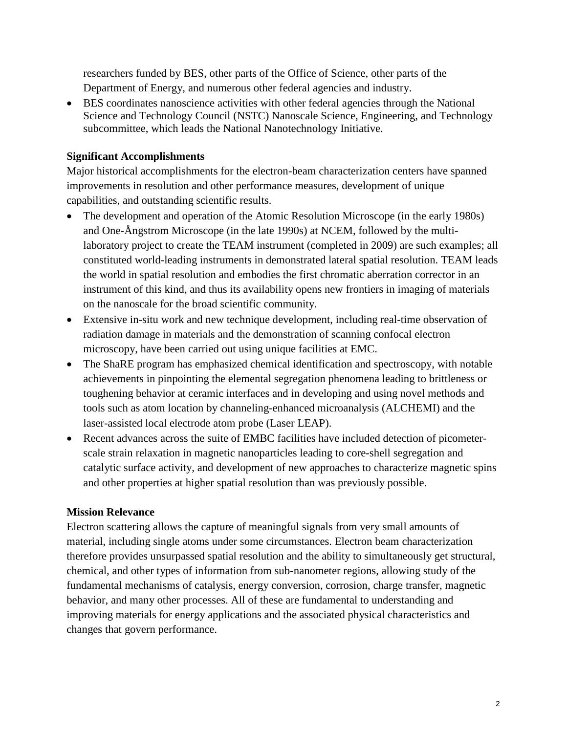researchers funded by BES, other parts of the Office of Science, other parts of the Department of Energy, and numerous other federal agencies and industry.

• BES coordinates nanoscience activities with other federal agencies through the National Science and Technology Council (NSTC) Nanoscale Science, Engineering, and Technology subcommittee, which leads the National Nanotechnology Initiative.

## **Significant Accomplishments**

Major historical accomplishments for the electron-beam characterization centers have spanned improvements in resolution and other performance measures, development of unique capabilities, and outstanding scientific results.

- The development and operation of the Atomic Resolution Microscope (in the early 1980s) and One-Ångstrom Microscope (in the late 1990s) at NCEM, followed by the multilaboratory project to create the TEAM instrument (completed in 2009) are such examples; all constituted world-leading instruments in demonstrated lateral spatial resolution. TEAM leads the world in spatial resolution and embodies the first chromatic aberration corrector in an instrument of this kind, and thus its availability opens new frontiers in imaging of materials on the nanoscale for the broad scientific community.
- Extensive in-situ work and new technique development, including real-time observation of radiation damage in materials and the demonstration of scanning confocal electron microscopy, have been carried out using unique facilities at EMC.
- The ShaRE program has emphasized chemical identification and spectroscopy, with notable achievements in pinpointing the elemental segregation phenomena leading to brittleness or toughening behavior at ceramic interfaces and in developing and using novel methods and tools such as atom location by channeling-enhanced microanalysis (ALCHEMI) and the laser-assisted local electrode atom probe (Laser LEAP).
- Recent advances across the suite of EMBC facilities have included detection of picometerscale strain relaxation in magnetic nanoparticles leading to core-shell segregation and catalytic surface activity, and development of new approaches to characterize magnetic spins and other properties at higher spatial resolution than was previously possible.

# **Mission Relevance**

Electron scattering allows the capture of meaningful signals from very small amounts of material, including single atoms under some circumstances. Electron beam characterization therefore provides unsurpassed spatial resolution and the ability to simultaneously get structural, chemical, and other types of information from sub-nanometer regions, allowing study of the fundamental mechanisms of catalysis, energy conversion, corrosion, charge transfer, magnetic behavior, and many other processes. All of these are fundamental to understanding and improving materials for energy applications and the associated physical characteristics and changes that govern performance.